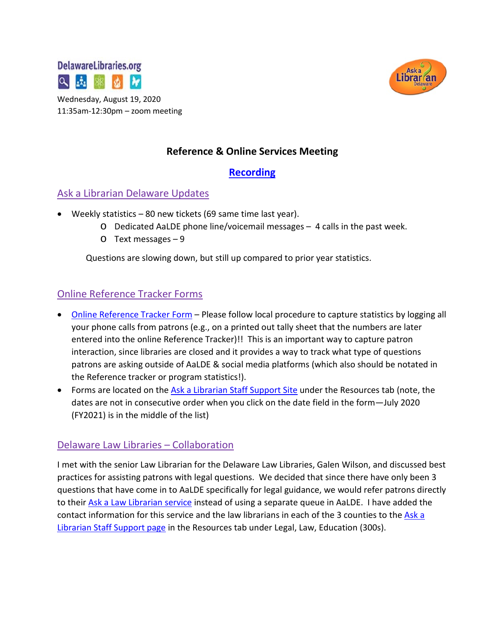



Wednesday, August 19, 2020 11:35am-12:30pm – zoom meeting

# **Reference & Online Services Meeting**

### **[Recording](https://drive.google.com/file/d/14wEPuTUl9zLXXnaYimnetmKh2ArdLXGU/view?usp=sharing)**

#### Ask a Librarian Delaware Updates

- Weekly statistics 80 new tickets (69 same time last year).
	- o Dedicated AaLDE phone line/voicemail messages 4 calls in the past week.
	- o Text messages 9

Questions are slowing down, but still up compared to prior year statistics.

### Online Reference Tracker Forms

- [Online Reference Tracker Form](https://de.countingopinions.com/s/feedback/index.php?survey_id=598&loc_id=en_CA) Please follow local procedure to capture statistics by logging all your phone calls from patrons (e.g., on a printed out tally sheet that the numbers are later entered into the online Reference Tracker)!! This is an important way to capture patron interaction, since libraries are closed and it provides a way to track what type of questions patrons are asking outside of AaLDE & social media platforms (which also should be notated in the Reference tracker or program statistics!).
- Forms are located on the [Ask a Librarian Staff Support Site](https://aalstaff.lib.de.us/resources/) under the Resources tab (note, the dates are not in consecutive order when you click on the date field in the form—July 2020 (FY2021) is in the middle of the list)

### Delaware Law Libraries – Collaboration

I met with the senior Law Librarian for the Delaware Law Libraries, Galen Wilson, and discussed best practices for assisting patrons with legal questions. We decided that since there have only been 3 questions that have come in to AaLDE specifically for legal guidance, we would refer patrons directly to their [Ask a Law Librarian service](https://courts.delaware.gov/lawlibraries/contact.aspx) instead of using a separate queue in AaLDE. I have added the contact information for this service and the law librarians in each of the 3 counties to the Ask a [Librarian Staff Support page](https://aalstaff.lib.de.us/resources/) in the Resources tab under Legal, Law, Education (300s).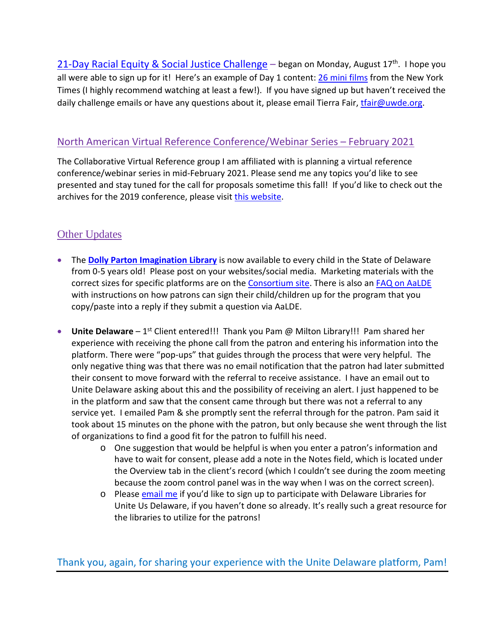[21-Day Racial Equity](https://deracialequitychallenge.org/) & Social Justice Challenge – began on Monday, August  $17<sup>th</sup>$ . I hope you all were able to sign up for it! Here's an example of Day 1 content: [26 mini films](https://www.nytimes.com/2017/03/15/learning/lesson-plans/25-mini-films-for-exploring-race-bias-and-identity-with-students.html) from the New York Times (I highly recommend watching at least a few!). If you have signed up but haven't received the daily challenge emails or have any questions about it, please email Tierra Fair, train @uwde.org.

#### North American Virtual Reference Conference/Webinar Series – February 2021

The Collaborative Virtual Reference group I am affiliated with is planning a virtual reference conference/webinar series in mid-February 2021. Please send me any topics you'd like to see presented and stay tuned for the call for proposals sometime this fall! If you'd like to check out the archives for the 2019 conference, please visit [this website.](https://sites.google.com/view/navrconference/)

# **Other Updates**

- The **[Dolly Parton Imagination Library](https://lib.de.us/imagination/)** is now available to every child in the State of Delaware from 0-5 years old! Please post on your websites/social media. Marketing materials with the correct sizes for specific platforms are on the [Consortium site.](https://consortium.lib.de.us/2020/08/01/imagination-library-information/) There is also an **FAQ on AaLDE** with instructions on how patrons can sign their child/children up for the program that you copy/paste into a reply if they submit a question via AaLDE.
- **Unite Delaware** 1<sup>st</sup> Client entered!!! Thank you Pam @ Milton Library!!! Pam shared her experience with receiving the phone call from the patron and entering his information into the platform. There were "pop-ups" that guides through the process that were very helpful. The only negative thing was that there was no email notification that the patron had later submitted their consent to move forward with the referral to receive assistance. I have an email out to Unite Delaware asking about this and the possibility of receiving an alert. I just happened to be in the platform and saw that the consent came through but there was not a referral to any service yet. I emailed Pam & she promptly sent the referral through for the patron. Pam said it took about 15 minutes on the phone with the patron, but only because she went through the list of organizations to find a good fit for the patron to fulfill his need.
	- $\circ$  One suggestion that would be helpful is when you enter a patron's information and have to wait for consent, please add a note in the Notes field, which is located under the Overview tab in the client's record (which I couldn't see during the zoom meeting because the zoom control panel was in the way when I was on the correct screen).
	- o Please [email me](mailto:missy.williams@lib.de.us) if you'd like to sign up to participate with Delaware Libraries for Unite Us Delaware, if you haven't done so already. It's really such a great resource for the libraries to utilize for the patrons!

Thank you, again, for sharing your experience with the Unite Delaware platform, Pam!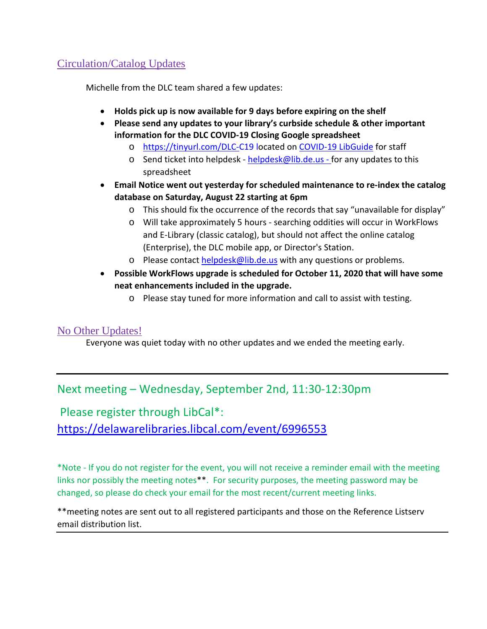# Circulation/Catalog Updates

Michelle from the DLC team shared a few updates:

- **Holds pick up is now available for 9 days before expiring on the shelf**
- **Please send any updates to your library's curbside schedule & other important information for the DLC COVID-19 Closing Google spreadsheet**
	- o <https://tinyurl.com/DLC-C19> located on [COVID-19 LibGuide](https://guides.lib.de.us/delibraries/COVID-19) for staff
	- o Send ticket into helpdesk [helpdesk@lib.de.us](mailto:helpdesk@lib.de.us) for any updates to this spreadsheet
- **Email Notice went out yesterday for scheduled maintenance to re-index the catalog database on Saturday, August 22 starting at 6pm**
	- o This should fix the occurrence of the records that say "unavailable for display"
	- o Will take approximately 5 hours searching oddities will occur in WorkFlows and E-Library (classic catalog), but should not affect the online catalog (Enterprise), the DLC mobile app, or Director's Station.
	- o Please contact [helpdesk@lib.de.us](mailto:helpdesk@lib.de.us) with any questions or problems.
- **Possible WorkFlows upgrade is scheduled for October 11, 2020 that will have some neat enhancements included in the upgrade.**
	- o Please stay tuned for more information and call to assist with testing.

#### No Other Updates!

Everyone was quiet today with no other updates and we ended the meeting early.

# Next meeting – Wednesday, September 2nd, 11:30-12:30pm

Please register through LibCal\*: <https://delawarelibraries.libcal.com/event/6996553>

\*Note - If you do not register for the event, you will not receive a reminder email with the meeting links nor possibly the meeting notes\*\*. For security purposes, the meeting password may be changed, so please do check your email for the most recent/current meeting links.

\*\*meeting notes are sent out to all registered participants and those on the Reference Listserv email distribution list.